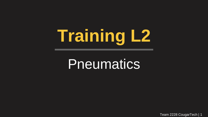# **Training L2**

# **Pneumatics**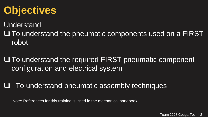### **Objectives**

Understand:

 $\Box$  To understand the pneumatic components used on a FIRST robot

 $\square$  To understand the required FIRST pneumatic component configuration and electrical system

To understand pneumatic assembly techniques

Note: References for this training is listed in the mechanical handbook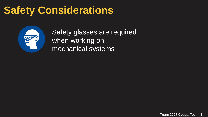### **Safety Considerations**



Safety glasses are required when working on mechanical systems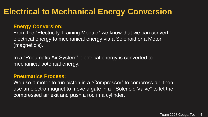### **Electrical to Mechanical Energy Conversion**

#### **Energy Conversion:**

From the "Electricity Training Module" we know that we can convert electrical energy to mechanical energy via a Solenoid or a Motor (magnetic's).

In a "Pneumatic Air System" electrical energy is converted to mechanical potential energy.

#### **Pneumatics Process:**

We use a motor to run piston in a "Compressor" to compress air, then use an electro-magnet to move a gate in a "Solenoid Valve" to let the compressed air exit and push a rod in a cylinder.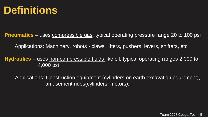

**Pneumatics** – uses compressible gas, typical operating pressure range 20 to 100 psi

Applications: Machinery, robots - claws, lifters, pushers, levers, shifters, etc

**Hydraulics** – uses non-compressible fluids like oil, typical operating ranges 2,000 to 4,000 psi

Applications: Construction equipment (cylinders on earth excavation equipment), amusement rides(cylinders, motors),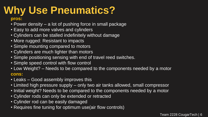# **Why Use Pneumatics?**

#### **pros:**

- Power density a lot of pushing force in small package
- Easy to add more valves and cylinders
- Cylinders can be stalled indefinitely without damage
- More rugged: Resistant to impacts
- Simple mounting compared to motors
- Cylinders are much lighter than motors
- Simple positioning sensing with end of travel reed switches.
- Simple speed control with flow control
- Low Weight? Needs to be compared to the components needed by a motor **cons:**
- Leaks Good assembly improves this
- Limited high pressure supply only two air tanks allowed, small compressor
- Initial weight? Needs to be compared to the components needed by a motor
- Cylinder rods can only be extended or retracted
- Cylinder rod can be easily damaged
- Requires fine tuning for optimum use(air flow controls)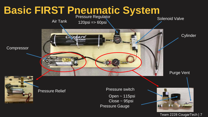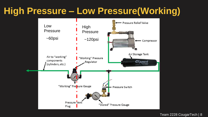### **High Pressure – Low Pressure(Working)**

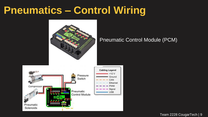### **Pneumatics – Control Wiring**



#### Pneumatic Control Module (PCM)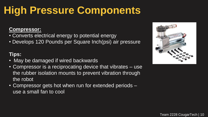#### **Compressor:**

- Converts electrical energy to potential energy
- Develops 120 Pounds per Square Inch(psi) air pressure

### **Tips:**

- May be damaged if wired backwards
- Compressor is a reciprocating device that vibrates use the rubber isolation mounts to prevent vibration through the robot
- Compressor gets hot when run for extended periods use a small fan to cool

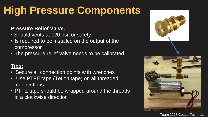#### **Pressure Relief Valve:**

- Should vents at 120 psi for safety
- Is required to be installed on the output of the compressor
- The pressure relief valve needs to be calibrated

### **Tips:**

- Secure all connection points with wrenches
- Use PTFE tape (Teflon tape) on all threaded connections
- PTFE tape should be wrapped around the threads in a clockwise direction

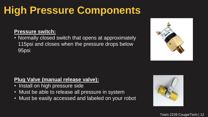### **Pressure switch:**

• Normally closed switch that opens at approximately 115psi and closes when the pressure drops below 95psi



### **Plug Valve (manual release valve):**

- Install on high pressure side
- Must be able to release all pressure in system
- Must be easily accessed and labeled on your robot

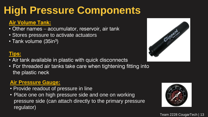### **Air Volume Tank:**

- Other names accumulator, reservoir, air tank
- Stores pressure to activate actuators
- Tank volume (35in<sup>3</sup>)

### **Tips:**

- Air tank available in plastic with quick disconnects
- For threaded air tanks take care when tightening fitting into the plastic neck

### **Air Pressure Gauge:**

- Provide readout of pressure in line
- Place one on high pressure side and one on working pressure side (can attach directly to the primary pressure regulator)



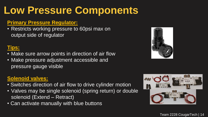## **Low Pressure Components**

#### **Primary Pressure Regulator:**

• Restricts working pressure to 60psi max on output side of regulator

### **Tips:**

- Make sure arrow points in direction of air flow
- Make pressure adjustment accessible and pressure gauge visible

### **Solenoid valves:**

- Switches direction of air flow to drive cylinder motion
- Valves may be single solenoid (spring return) or double solenoid (Extend – Retract)
- Can activate manually with blue buttons



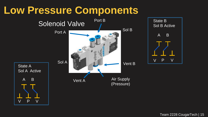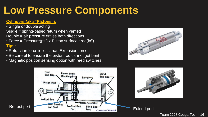### **Low Pressure Components**

#### **Cylinders (aka "Pistons"):**

- Single or double acting Single = spring-based return when vented Double = air pressure drives both directions
- Force = Pressure(psi) x Piston surface area(in<sup>2</sup>) **Tips:**
- Retraction force is less than Extension force
- Be careful to ensure the piston rod cannot get bent
- Magnetic position sensing option with reed switches



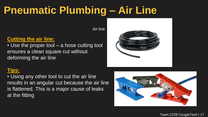### **Pneumatic Plumbing – Air Line**

Air line

### **Cutting the air line:**

• Use the proper tool – a hose cutting tool ensures a clean square cut without deforming the air line



### **Tips:**

• Using any other tool to cut the air line results in an angular cut because the air line is flattened. This is a major cause of leaks at the fitting

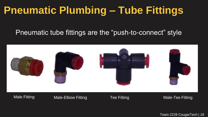### **Pneumatic Plumbing – Tube Fittings**

### Pneumatic tube fittings are the "push-to-connect" style

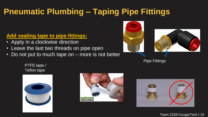### **Pneumatic Plumbing – Taping Pipe Fittings**

### **Add sealing tape to pipe fittings:**

- Apply in a clockwise direction
- Leave the last two threads on pipe open
- Do not put to much tape on more is not better



**Pipe Fittings** 

PTFE tape / Teflon tape





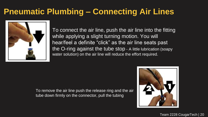### **Pneumatic Plumbing – Connecting Air Lines**



To connect the air line, push the air line into the fitting while applying a slight turning motion. You will hear/feel a definite "click" as the air line seats past the O-ring against the tube stop - A little lubrication (soapy water solution) on the air line will reduce the effort required.

To remove the air line push the release ring and the air tube down firmly on the connector, pull the tubing

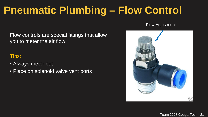## **Pneumatic Plumbing – Flow Control**

Flow Adjustment

Flow controls are special fittings that allow you to meter the air flow

### Tips:

- Always meter out
- Place on solenoid valve vent ports

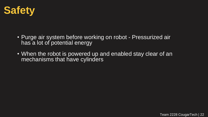

- Purge air system before working on robot Pressurized air has a lot of potential energy
- When the robot is powered up and enabled stay clear of an mechanisms that have cylinders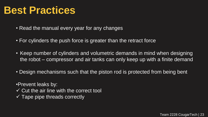### **Best Practices**

- Read the manual every year for any changes
- For cylinders the push force is greater than the retract force
- Keep number of cylinders and volumetric demands in mind when designing the robot – compressor and air tanks can only keep up with a finite demand
- Design mechanisms such that the piston rod is protected from being bent

•Prevent leaks by:

- $\checkmark$  Cut the air line with the correct tool
- $\checkmark$  Tape pipe threads correctly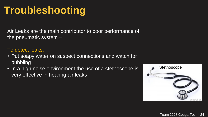### **Troubleshooting**

Air Leaks are the main contributor to poor performance of the pneumatic system –

#### To detect leaks:

- Put soapy water on suspect connections and watch for bubbling
- In a high noise environment the use of a stethoscope is very effective in hearing air leaks